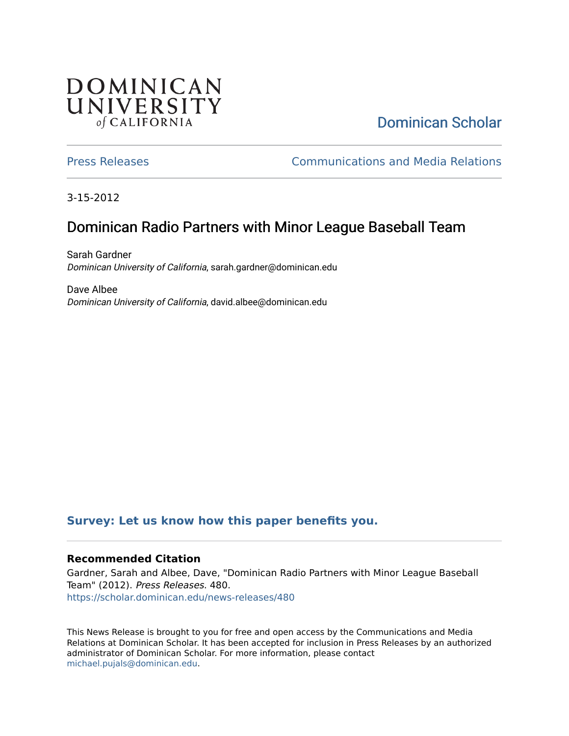# **DOMINICAN** UNIVERSITY of CALIFORNIA

[Dominican Scholar](https://scholar.dominican.edu/) 

[Press Releases](https://scholar.dominican.edu/news-releases) [Communications and Media Relations](https://scholar.dominican.edu/communications-media) 

3-15-2012

# Dominican Radio Partners with Minor League Baseball Team

Sarah Gardner Dominican University of California, sarah.gardner@dominican.edu

Dave Albee Dominican University of California, david.albee@dominican.edu

## **[Survey: Let us know how this paper benefits you.](https://dominican.libwizard.com/dominican-scholar-feedback)**

#### **Recommended Citation**

Gardner, Sarah and Albee, Dave, "Dominican Radio Partners with Minor League Baseball Team" (2012). Press Releases. 480. [https://scholar.dominican.edu/news-releases/480](https://scholar.dominican.edu/news-releases/480?utm_source=scholar.dominican.edu%2Fnews-releases%2F480&utm_medium=PDF&utm_campaign=PDFCoverPages)

This News Release is brought to you for free and open access by the Communications and Media Relations at Dominican Scholar. It has been accepted for inclusion in Press Releases by an authorized administrator of Dominican Scholar. For more information, please contact [michael.pujals@dominican.edu.](mailto:michael.pujals@dominican.edu)